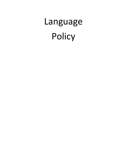# Language Policy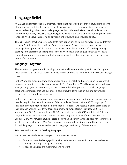## Language Belief

At C.B. Jennings International Elementary Magnet School, we believe that language is the key to all learning and that it is the major element that connects the curriculum. Since language is central to learning, all teachers are language teachers. We also believe that all students should have the opportunity to learn a second language, while at the same time maintaining their home language. We believe in creating an environment of cultural and linguistic equity.

Through inquiry, teachers provide students with opportunities to use language in many different formats. C. B. Jennings International Elementary Magnet School recognizes and supports the language development of all students. The IB Learner Profile attributes inform the planning, teaching, and assessing of all language learning. We believe that language instruction should connect to our units of inquiry and that instruction is differentiated according to the language needs of each learner.

### Language Programs

There are two programs at C.B. Jennings International Elementary Magnet School. Each grade level, Grades K- 5 has three World Language classes and one self-contained 1-way Dual Language class.

In the World Language program, students are taught in English and receive Spanish as a world language instruction forty-five minutes a week. The Spanish as a World Language class follows a Foreign Language in an Elementary School (FLES) model. The Spanish as a World Language teacher has materials that use culture as a backdrop. Students take on cultural adventures throughout the Spanish-speaking world.

In the 1-way Dual Language program, classes are made up of Spanish-dominant English learners in order to prioritize the unique needs of these students. We strive for a 50/50 language of instruction model by fourth grade. Prior to grade 4, students will receive a larger percentage of instruction in Spanish in order to focus on primary language literacy instruction (90/10 in kindergarten, 80/20 in first grade and 70/30 in second grade and 60/40 in third grade). In grades 4-5, students will receive 50% of their instruction in English and 50% of their instruction in Spanish. Our 1-Way Dual Language classes also attend a Spanish Language class for 45 minutes a week. The classes for the 1-Way Dual Language program will be differentiated from the other Spanish language classes due to the Spanish language proficiency of the students.

#### Principles and Practices of Teaching Language

We believe that students become good communicators when:

- Students are actively engaged in a wide variety of activities which lend themselves to listening, speaking, reading, and writing
- Language activities are meaningful and relevant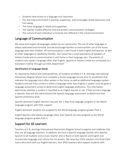- Students have access to a language-rich classroom
- The learning environment is positive, supportive, and encourages verbal expression and risk-taking.
- The home language is valued and supported
- The teacher models effective oral and written communication strategies
- The culture of each individual is honored and reflected in the school environment

## Language of Communication

We value and respect all languages spoken by our community. The use of other languages is always welcomed and honored, and we encourage families to continuetheir use of the home language with their children. All communication is sent home in both English and Spanish, as well as other languages as needed by families. Our school has a small population of speakers of Haitian Creole and so communication is sent home in their language also. The parents of students who speak a language other than English, Spanish or Haitian Creole are connected to a translation hotline through our ESOL department

#### Identification of Language Needs

As required by federal and state guidelines, all students enrolled in C.B. Jennings International Elementary Magnet School must complete a Home Language Survey prior to enrollment that indicates the language most often spoken in the home, as well as additional languages spoken. Students who are from a home in which a language other than English is spoken must be given a language assessment survey to determine English language proficiency. This information determines whether a student is classified as an English learner or not. If their primary language is Spanish, they are also administered the Spanish language assessment to determine their Spanish proficiency level.

Spanish dominant English learners may join the 1-Way Dual language program or the World language program with ESOL support.

English dominant students are assigned to the World language program grades PreK-5.

English learners who speak a language other than Spanish are also assigned to the World language program grades PreK-5.

## Support for All Learners

Teachers at C.B. Jennings International Elementary Magnet School recognize and celebrate that they are all language teachers. In addition, we have a Spanish language teacher who teaches Spanish to all students and a music teacher who is fluent in both Spanish and English and incorporates language and culture into his lessons. We have four ESOL teachers and three ESOL tutors who work with our English learners, four SPED teachers who support students with